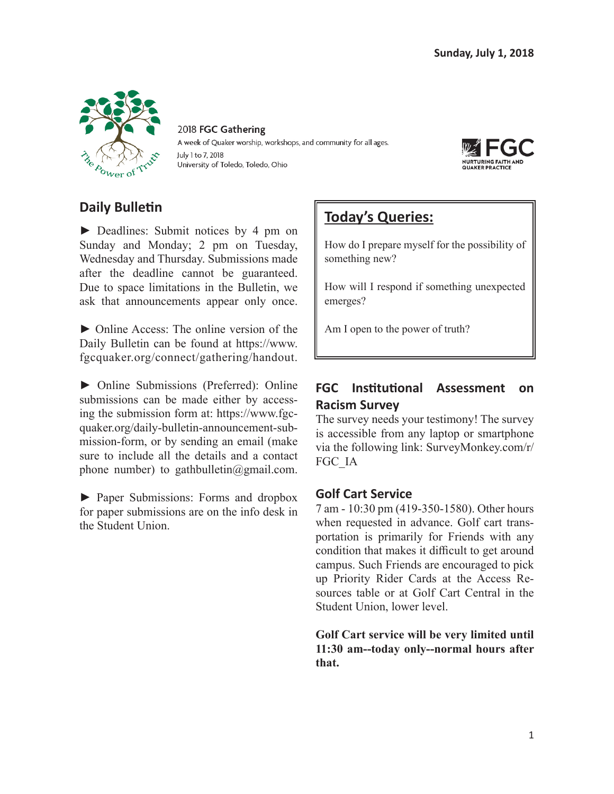

2018 FGC Gathering A week of Quaker worship, workshops, and community for all ages. July 1 to 7, 2018 University of Toledo, Toledo, Ohio



## **Daily Bulletn**

► Deadlines: Submit notices by 4 pm on Sunday and Monday; 2 pm on Tuesday, Wednesday and Thursday. Submissions made after the deadline cannot be guaranteed. Due to space limitations in the Bulletin, we ask that announcements appear only once.

► Online Access: The online version of the Daily Bulletin can be found at https://www. fgcquaker.org/connect/gathering/handout.

► Online Submissions (Preferred): Online submissions can be made either by accessing the submission form at: https://www.fgcquaker.org/daily-bulletin-announcement-submission-form, or by sending an email (make sure to include all the details and a contact phone number) to gathbulletin $@gamma$ gmail.com.

► Paper Submissions: Forms and dropbox for paper submissions are on the info desk in the Student Union.

# **Today's Queries:**

How do I prepare myself for the possibility of something new?

How will I respond if something unexpected emerges?

Am I open to the power of truth?

## FGC Institutional Assessment on **Racism Survey**

The survey needs your testimony! The survey is accessible from any laptop or smartphone via the following link: SurveyMonkey.com/r/ FGC\_IA

### **Golf Cart Service**

7 am - 10:30 pm (419-350-1580). Other hours when requested in advance. Golf cart transportation is primarily for Friends with any condition that makes it difficult to get around campus. Such Friends are encouraged to pick up Priority Rider Cards at the Access Resources table or at Golf Cart Central in the Student Union, lower level.

**Golf Cart service will be very limited until 11:30 am--today only--normal hours after that.**